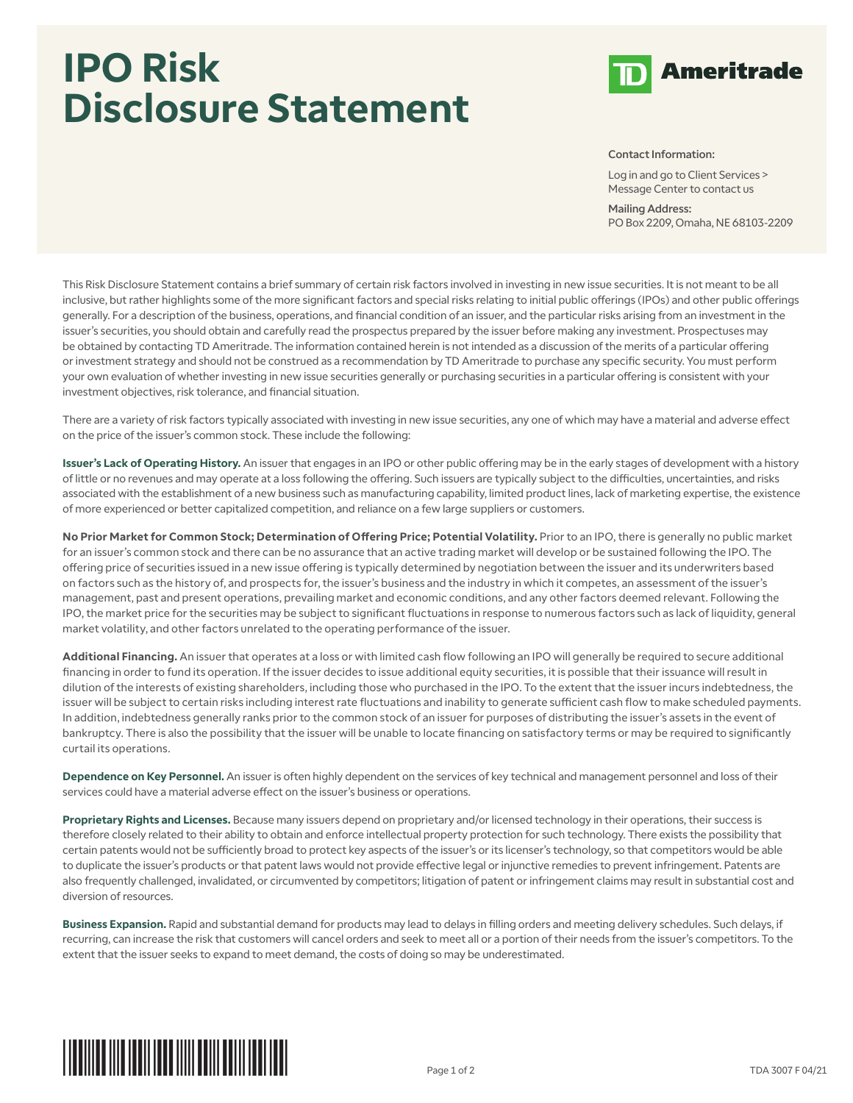## **IPO Risk Disclosure Statement**



## Contact Information:

Log in and go to Client Services > Message Center to contact us

Mailing Address: PO Box 2209, Omaha, NE 68103-2209

This Risk Disclosure Statement contains a brief summary of certain risk factors involved in investing in new issue securities. It is not meant to be all inclusive, but rather highlights some of the more significant factors and special risks relating to initial public offerings (IPOs) and other public offerings generally. For a description of the business, operations, and financial condition of an issuer, and the particular risks arising from an investment in the issuer's securities, you should obtain and carefully read the prospectus prepared by the issuer before making any investment. Prospectuses may be obtained by contacting TD Ameritrade. The information contained herein is not intended as a discussion of the merits of a particular offering or investment strategy and should not be construed as a recommendation by TD Ameritrade to purchase any specific security. You must perform your own evaluation of whether investing in new issue securities generally or purchasing securities in a particular offering is consistent with your investment objectives, risk tolerance, and financial situation.

There are a variety of risk factors typically associated with investing in new issue securities, any one of which may have a material and adverse effect on the price of the issuer's common stock. These include the following:

**Issuer's Lack of Operating History.** An issuer that engages in an IPO or other public offering may be in the early stages of development with a history of little or no revenues and may operate at a loss following the offering. Such issuers are typically subject to the difficulties, uncertainties, and risks associated with the establishment of a new business such as manufacturing capability, limited product lines, lack of marketing expertise, the existence of more experienced or better capitalized competition, and reliance on a few large suppliers or customers.

**No Prior Market for Common Stock; Determination of Offering Price; Potential Volatility.** Prior to an IPO, there is generally no public market for an issuer's common stock and there can be no assurance that an active trading market will develop or be sustained following the IPO. The offering price of securities issued in a new issue offering is typically determined by negotiation between the issuer and its underwriters based on factors such as the history of, and prospects for, the issuer's business and the industry in which it competes, an assessment of the issuer's management, past and present operations, prevailing market and economic conditions, and any other factors deemed relevant. Following the IPO, the market price for the securities may be subject to significant fluctuations in response to numerous factors such as lack of liquidity, general market volatility, and other factors unrelated to the operating performance of the issuer.

**Additional Financing.** An issuer that operates at a loss or with limited cash flow following an IPO will generally be required to secure additional financing in order to fund its operation. If the issuer decides to issue additional equity securities, it is possible that their issuance will result in dilution of the interests of existing shareholders, including those who purchased in the IPO. To the extent that the issuer incurs indebtedness, the issuer will be subject to certain risks including interest rate fluctuations and inability to generate sufficient cash flow to make scheduled payments. In addition, indebtedness generally ranks prior to the common stock of an issuer for purposes of distributing the issuer's assets in the event of bankruptcy. There is also the possibility that the issuer will be unable to locate financing on satisfactory terms or may be required to significantly curtail its operations.

**Dependence on Key Personnel.** An issuer is often highly dependent on the services of key technical and management personnel and loss of their services could have a material adverse effect on the issuer's business or operations.

**Proprietary Rights and Licenses.** Because many issuers depend on proprietary and/or licensed technology in their operations, their success is therefore closely related to their ability to obtain and enforce intellectual property protection for such technology. There exists the possibility that certain patents would not be sufficiently broad to protect key aspects of the issuer's or its licenser's technology, so that competitors would be able to duplicate the issuer's products or that patent laws would not provide effective legal or injunctive remedies to prevent infringement. Patents are also frequently challenged, invalidated, or circumvented by competitors; litigation of patent or infringement claims may result in substantial cost and diversion of resources.

**Business Expansion.** Rapid and substantial demand for products may lead to delays in filling orders and meeting delivery schedules. Such delays, if recurring, can increase the risk that customers will cancel orders and seek to meet all or a portion of their needs from the issuer's competitors. To the extent that the issuer seeks to expand to meet demand, the costs of doing so may be underestimated.